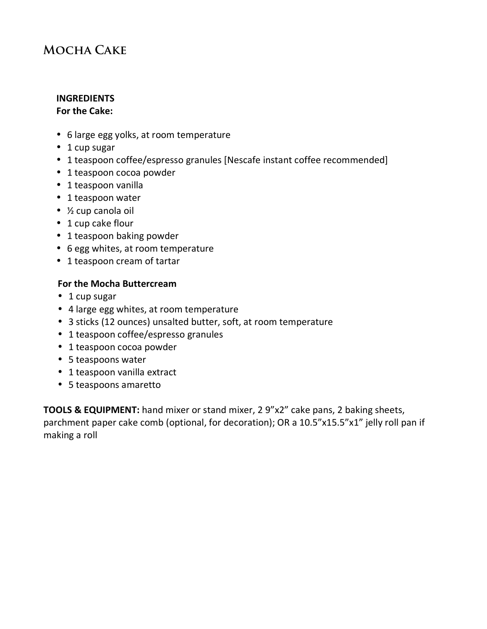## **Mocha Cake**

# **INGREDIENTS**

## **For the Cake:**

- 6 large egg yolks, at room temperature
- $\cdot$  1 cup sugar
- 1 teaspoon coffee/espresso granules [Nescafe instant coffee recommended]
- 1 teaspoon cocoa powder
- 1 teaspoon vanilla
- 1 teaspoon water
- $\bullet$  % cup canola oil
- 1 cup cake flour
- 1 teaspoon baking powder
- 6 egg whites, at room temperature
- 1 teaspoon cream of tartar

#### For the Mocha Buttercream

- $\cdot$  1 cup sugar
- 4 large egg whites, at room temperature
- 3 sticks (12 ounces) unsalted butter, soft, at room temperature
- 1 teaspoon coffee/espresso granules
- 1 teaspoon cocoa powder
- 5 teaspoons water
- 1 teaspoon vanilla extract
- 5 teaspoons amaretto

**TOOLS & EQUIPMENT:** hand mixer or stand mixer, 2 9"x2" cake pans, 2 baking sheets, parchment paper cake comb (optional, for decoration); OR a 10.5"x15.5"x1" jelly roll pan if making a roll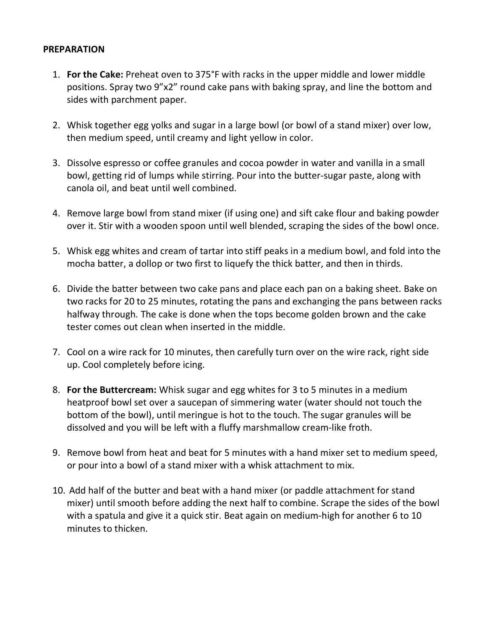#### **PREPARATION**

- 1. **For the Cake:** Preheat oven to 375°F with racks in the upper middle and lower middle positions. Spray two 9"x2" round cake pans with baking spray, and line the bottom and sides with parchment paper.
- 2. Whisk together egg yolks and sugar in a large bowl (or bowl of a stand mixer) over low, then medium speed, until creamy and light yellow in color.
- 3. Dissolve espresso or coffee granules and cocoa powder in water and vanilla in a small bowl, getting rid of lumps while stirring. Pour into the butter-sugar paste, along with canola oil, and beat until well combined.
- 4. Remove large bowl from stand mixer (if using one) and sift cake flour and baking powder over it. Stir with a wooden spoon until well blended, scraping the sides of the bowl once.
- 5. Whisk egg whites and cream of tartar into stiff peaks in a medium bowl, and fold into the mocha batter, a dollop or two first to liquefy the thick batter, and then in thirds.
- 6. Divide the batter between two cake pans and place each pan on a baking sheet. Bake on two racks for 20 to 25 minutes, rotating the pans and exchanging the pans between racks halfway through. The cake is done when the tops become golden brown and the cake tester comes out clean when inserted in the middle.
- 7. Cool on a wire rack for 10 minutes, then carefully turn over on the wire rack, right side up. Cool completely before icing.
- 8. **For the Buttercream:** Whisk sugar and egg whites for 3 to 5 minutes in a medium heatproof bowl set over a saucepan of simmering water (water should not touch the bottom of the bowl), until meringue is hot to the touch. The sugar granules will be dissolved and you will be left with a fluffy marshmallow cream-like froth.
- 9. Remove bowl from heat and beat for 5 minutes with a hand mixer set to medium speed, or pour into a bowl of a stand mixer with a whisk attachment to mix.
- 10. Add half of the butter and beat with a hand mixer (or paddle attachment for stand mixer) until smooth before adding the next half to combine. Scrape the sides of the bowl with a spatula and give it a quick stir. Beat again on medium-high for another 6 to 10 minutes to thicken.